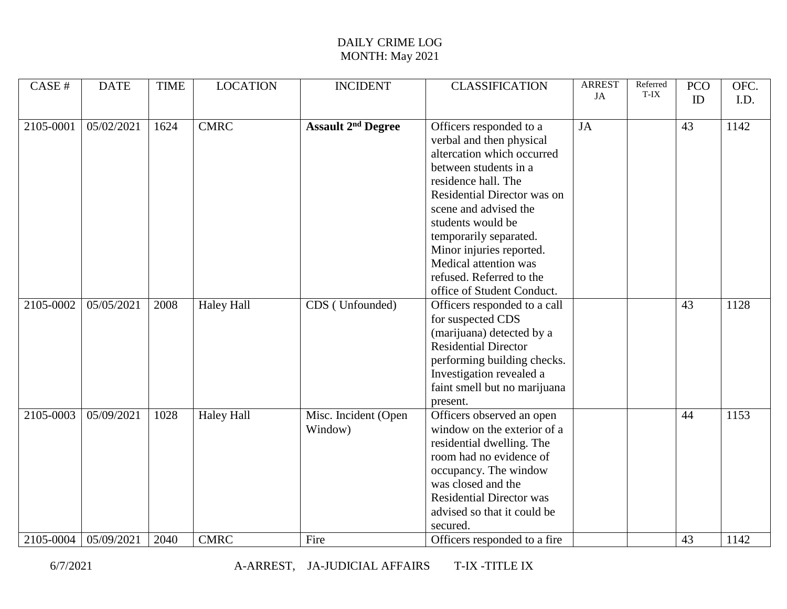| CASE#     | <b>DATE</b> | <b>TIME</b> | <b>LOCATION</b>   | <b>INCIDENT</b>           | <b>CLASSIFICATION</b>           | <b>ARREST</b> | Referred | <b>PCO</b> | OFC. |
|-----------|-------------|-------------|-------------------|---------------------------|---------------------------------|---------------|----------|------------|------|
|           |             |             |                   |                           |                                 | JA            | T-IX     | ID         | I.D. |
|           |             |             |                   |                           |                                 |               |          |            |      |
| 2105-0001 | 05/02/2021  | 1624        | <b>CMRC</b>       | <b>Assault 2nd Degree</b> | Officers responded to a         | JA            |          | 43         | 1142 |
|           |             |             |                   |                           | verbal and then physical        |               |          |            |      |
|           |             |             |                   |                           | altercation which occurred      |               |          |            |      |
|           |             |             |                   |                           | between students in a           |               |          |            |      |
|           |             |             |                   |                           | residence hall. The             |               |          |            |      |
|           |             |             |                   |                           | Residential Director was on     |               |          |            |      |
|           |             |             |                   |                           | scene and advised the           |               |          |            |      |
|           |             |             |                   |                           | students would be               |               |          |            |      |
|           |             |             |                   |                           | temporarily separated.          |               |          |            |      |
|           |             |             |                   |                           | Minor injuries reported.        |               |          |            |      |
|           |             |             |                   |                           | Medical attention was           |               |          |            |      |
|           |             |             |                   |                           | refused. Referred to the        |               |          |            |      |
|           |             |             |                   |                           | office of Student Conduct.      |               |          |            |      |
| 2105-0002 | 05/05/2021  | 2008        | <b>Haley Hall</b> | CDS (Unfounded)           | Officers responded to a call    |               |          | 43         | 1128 |
|           |             |             |                   |                           | for suspected CDS               |               |          |            |      |
|           |             |             |                   |                           | (marijuana) detected by a       |               |          |            |      |
|           |             |             |                   |                           | <b>Residential Director</b>     |               |          |            |      |
|           |             |             |                   |                           | performing building checks.     |               |          |            |      |
|           |             |             |                   |                           | Investigation revealed a        |               |          |            |      |
|           |             |             |                   |                           | faint smell but no marijuana    |               |          |            |      |
|           |             |             |                   |                           | present.                        |               |          |            |      |
| 2105-0003 | 05/09/2021  | 1028        | <b>Haley Hall</b> | Misc. Incident (Open      | Officers observed an open       |               |          | 44         | 1153 |
|           |             |             |                   | Window)                   | window on the exterior of a     |               |          |            |      |
|           |             |             |                   |                           | residential dwelling. The       |               |          |            |      |
|           |             |             |                   |                           | room had no evidence of         |               |          |            |      |
|           |             |             |                   |                           | occupancy. The window           |               |          |            |      |
|           |             |             |                   |                           | was closed and the              |               |          |            |      |
|           |             |             |                   |                           | <b>Residential Director was</b> |               |          |            |      |
|           |             |             |                   |                           | advised so that it could be     |               |          |            |      |
|           |             |             |                   |                           | secured.                        |               |          |            |      |
| 2105-0004 | 05/09/2021  | 2040        | <b>CMRC</b>       | Fire                      | Officers responded to a fire    |               |          | 43         | 1142 |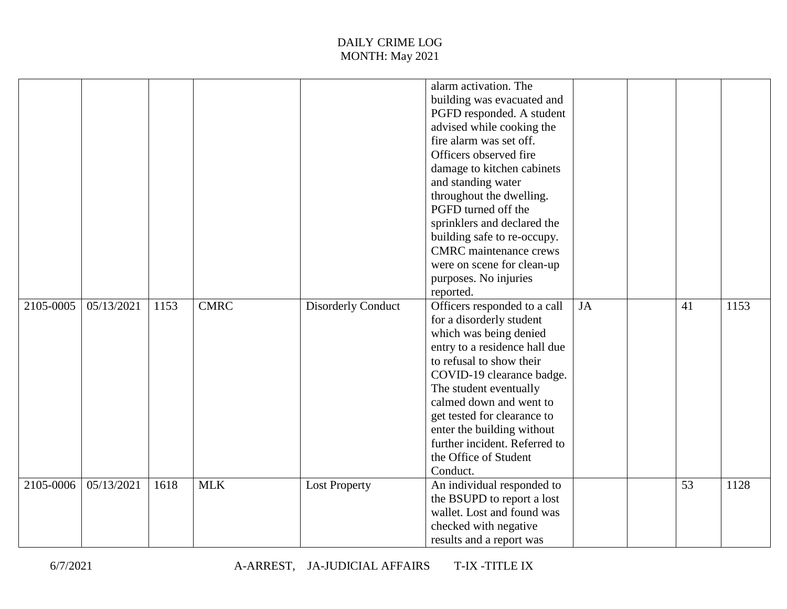|           |            |      |             |                           | alarm activation. The<br>building was evacuated and<br>PGFD responded. A student<br>advised while cooking the<br>fire alarm was set off.<br>Officers observed fire<br>damage to kitchen cabinets<br>and standing water<br>throughout the dwelling.<br>PGFD turned off the<br>sprinklers and declared the<br>building safe to re-occupy.<br><b>CMRC</b> maintenance crews<br>were on scene for clean-up<br>purposes. No injuries<br>reported. |           |                 |      |
|-----------|------------|------|-------------|---------------------------|----------------------------------------------------------------------------------------------------------------------------------------------------------------------------------------------------------------------------------------------------------------------------------------------------------------------------------------------------------------------------------------------------------------------------------------------|-----------|-----------------|------|
| 2105-0005 | 05/13/2021 | 1153 | <b>CMRC</b> | <b>Disorderly Conduct</b> | Officers responded to a call<br>for a disorderly student<br>which was being denied<br>entry to a residence hall due<br>to refusal to show their<br>COVID-19 clearance badge.<br>The student eventually<br>calmed down and went to<br>get tested for clearance to<br>enter the building without<br>further incident. Referred to<br>the Office of Student<br>Conduct.                                                                         | <b>JA</b> | 41              | 1153 |
| 2105-0006 | 05/13/2021 | 1618 | <b>MLK</b>  | <b>Lost Property</b>      | An individual responded to<br>the BSUPD to report a lost<br>wallet. Lost and found was<br>checked with negative<br>results and a report was                                                                                                                                                                                                                                                                                                  |           | $\overline{53}$ | 1128 |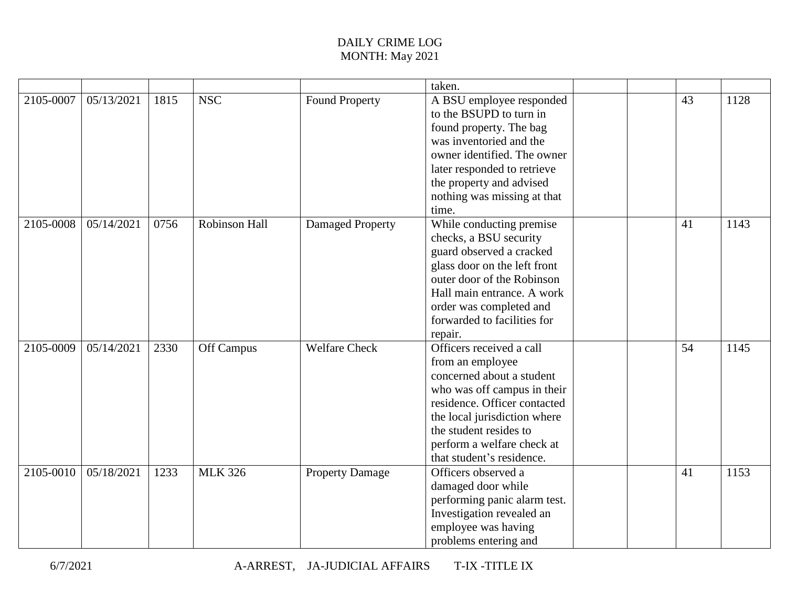|           |            |      |                |                         | taken.                       |    |      |
|-----------|------------|------|----------------|-------------------------|------------------------------|----|------|
| 2105-0007 | 05/13/2021 | 1815 | <b>NSC</b>     | <b>Found Property</b>   | A BSU employee responded     | 43 | 1128 |
|           |            |      |                |                         | to the BSUPD to turn in      |    |      |
|           |            |      |                |                         | found property. The bag      |    |      |
|           |            |      |                |                         | was inventoried and the      |    |      |
|           |            |      |                |                         | owner identified. The owner  |    |      |
|           |            |      |                |                         | later responded to retrieve  |    |      |
|           |            |      |                |                         | the property and advised     |    |      |
|           |            |      |                |                         | nothing was missing at that  |    |      |
|           |            |      |                |                         | time.                        |    |      |
| 2105-0008 | 05/14/2021 | 0756 | Robinson Hall  | <b>Damaged Property</b> | While conducting premise     | 41 | 1143 |
|           |            |      |                |                         | checks, a BSU security       |    |      |
|           |            |      |                |                         | guard observed a cracked     |    |      |
|           |            |      |                |                         | glass door on the left front |    |      |
|           |            |      |                |                         | outer door of the Robinson   |    |      |
|           |            |      |                |                         | Hall main entrance. A work   |    |      |
|           |            |      |                |                         | order was completed and      |    |      |
|           |            |      |                |                         | forwarded to facilities for  |    |      |
|           |            |      |                |                         | repair.                      |    |      |
| 2105-0009 | 05/14/2021 | 2330 | Off Campus     | <b>Welfare Check</b>    | Officers received a call     | 54 | 1145 |
|           |            |      |                |                         | from an employee             |    |      |
|           |            |      |                |                         | concerned about a student    |    |      |
|           |            |      |                |                         | who was off campus in their  |    |      |
|           |            |      |                |                         | residence. Officer contacted |    |      |
|           |            |      |                |                         | the local jurisdiction where |    |      |
|           |            |      |                |                         | the student resides to       |    |      |
|           |            |      |                |                         | perform a welfare check at   |    |      |
|           |            |      |                |                         | that student's residence.    |    |      |
| 2105-0010 | 05/18/2021 | 1233 | <b>MLK 326</b> | <b>Property Damage</b>  | Officers observed a          | 41 | 1153 |
|           |            |      |                |                         | damaged door while           |    |      |
|           |            |      |                |                         | performing panic alarm test. |    |      |
|           |            |      |                |                         | Investigation revealed an    |    |      |
|           |            |      |                |                         | employee was having          |    |      |
|           |            |      |                |                         | problems entering and        |    |      |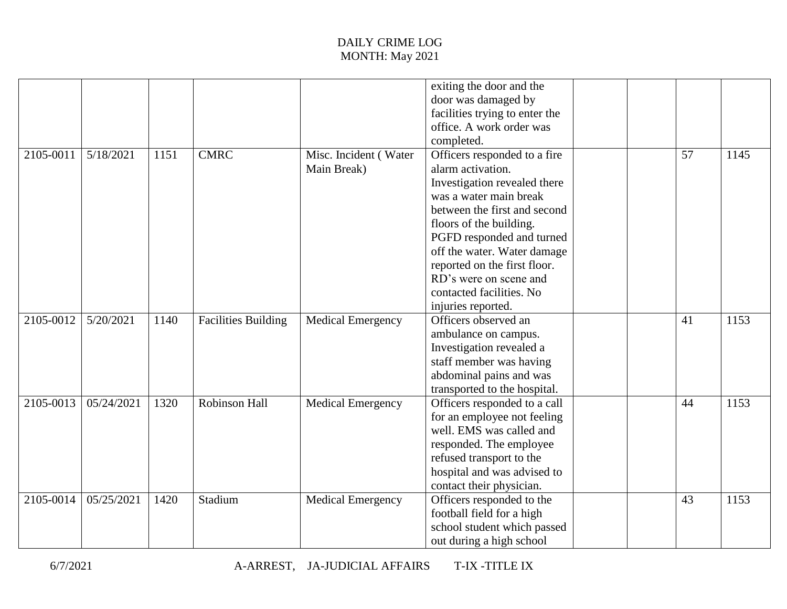|           |            |      |                            |                          | exiting the door and the       |    |      |
|-----------|------------|------|----------------------------|--------------------------|--------------------------------|----|------|
|           |            |      |                            |                          | door was damaged by            |    |      |
|           |            |      |                            |                          | facilities trying to enter the |    |      |
|           |            |      |                            |                          | office. A work order was       |    |      |
|           |            |      |                            |                          | completed.                     |    |      |
| 2105-0011 | 5/18/2021  | 1151 | <b>CMRC</b>                | Misc. Incident (Water    | Officers responded to a fire   | 57 | 1145 |
|           |            |      |                            | Main Break)              | alarm activation.              |    |      |
|           |            |      |                            |                          | Investigation revealed there   |    |      |
|           |            |      |                            |                          | was a water main break         |    |      |
|           |            |      |                            |                          | between the first and second   |    |      |
|           |            |      |                            |                          | floors of the building.        |    |      |
|           |            |      |                            |                          | PGFD responded and turned      |    |      |
|           |            |      |                            |                          | off the water. Water damage    |    |      |
|           |            |      |                            |                          | reported on the first floor.   |    |      |
|           |            |      |                            |                          | RD's were on scene and         |    |      |
|           |            |      |                            |                          | contacted facilities. No       |    |      |
|           |            |      |                            |                          | injuries reported.             |    |      |
| 2105-0012 | 5/20/2021  | 1140 | <b>Facilities Building</b> | <b>Medical Emergency</b> | Officers observed an           | 41 | 1153 |
|           |            |      |                            |                          | ambulance on campus.           |    |      |
|           |            |      |                            |                          | Investigation revealed a       |    |      |
|           |            |      |                            |                          | staff member was having        |    |      |
|           |            |      |                            |                          | abdominal pains and was        |    |      |
|           |            |      |                            |                          | transported to the hospital.   |    |      |
| 2105-0013 | 05/24/2021 | 1320 | Robinson Hall              | <b>Medical Emergency</b> | Officers responded to a call   | 44 | 1153 |
|           |            |      |                            |                          | for an employee not feeling    |    |      |
|           |            |      |                            |                          | well. EMS was called and       |    |      |
|           |            |      |                            |                          | responded. The employee        |    |      |
|           |            |      |                            |                          | refused transport to the       |    |      |
|           |            |      |                            |                          | hospital and was advised to    |    |      |
|           |            |      |                            |                          | contact their physician.       |    |      |
| 2105-0014 | 05/25/2021 | 1420 | Stadium                    | <b>Medical Emergency</b> | Officers responded to the      | 43 | 1153 |
|           |            |      |                            |                          | football field for a high      |    |      |
|           |            |      |                            |                          | school student which passed    |    |      |
|           |            |      |                            |                          | out during a high school       |    |      |